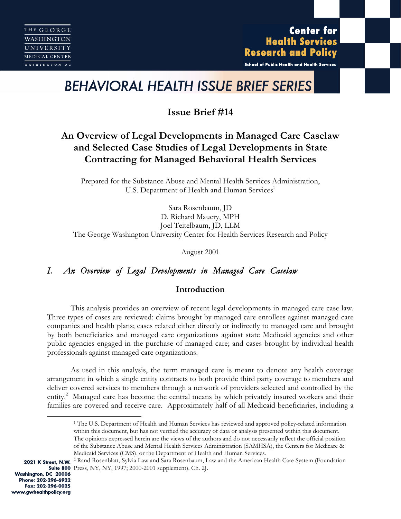**Center for Health Services Research and Policy** 

School of Public Health and Health Services

# *BEHAVIORAL HEALTH ISSUE BRIEF SERIES*

**Issue Brief #14**

# **An Overview of Legal Developments in Managed Care Caselaw and Selected Case Studies of Legal Developments in State Contracting for Managed Behavioral Health Services**

Prepared for the Substance Abuse and Mental Health Services Administration, U.S. Department of Health and Human Services<sup>1</sup>

Sara Rosenbaum, JD D. Richard Mauery, MPH Joel Teitelbaum, JD, LLM The George Washington University Center for Health Services Research and Policy

August 2001

# *I. An Overview of Legal Developments in Managed Care Caselaw*

# **Introduction**

This analysis provides an overview of recent legal developments in managed care case law. Three types of cases are reviewed: claims brought by managed care enrollees against managed care companies and health plans; cases related either directly or indirectly to managed care and brought by both beneficiaries and managed care organizations against state Medicaid agencies and other public agencies engaged in the purchase of managed care; and cases brought by individual health professionals against managed care organizations.

As used in this analysis, the term managed care is meant to denote any health coverage arrangement in which a single entity contracts to both provide third party coverage to members and deliver covered services to members through a network of providers selected and controlled by the entity.<sup>2</sup> Managed care has become the central means by which privately insured workers and their families are covered and receive care. Approximately half of all Medicaid beneficiaries, including a

 <sup>1</sup> The U.S. Department of Health and Human Services has reviewed and approved policy-related information within this document, but has not verified the accuracy of data or analysis presented within this document. The opinions expressed herein are the views of the authors and do not necessarily reflect the official position of the Substance Abuse and Mental Health Services Administration (SAMHSA), the Centers for Medicare & Medicaid Services (CMS), or the Department of Health and Human Services.

<sup>2021</sup> K Street, N.W. <sup>2</sup> Rand Rosenblatt, Sylvia Law and Sara Rosenbaum, Law and the American Health Care System (Foundation Suite 800 Press, NY, NY, 1997; 2000-2001 supplement). Ch. 2J.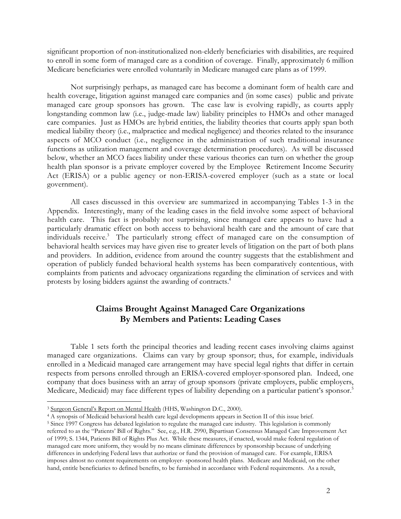significant proportion of non-institutionalized non-elderly beneficiaries with disabilities, are required to enroll in some form of managed care as a condition of coverage. Finally, approximately 6 million Medicare beneficiaries were enrolled voluntarily in Medicare managed care plans as of 1999.

Not surprisingly perhaps, as managed care has become a dominant form of health care and health coverage, litigation against managed care companies and (in some cases) public and private managed care group sponsors has grown. The case law is evolving rapidly, as courts apply longstanding common law (i.e., judge-made law) liability principles to HMOs and other managed care companies. Just as HMOs are hybrid entities, the liability theories that courts apply span both medical liability theory (i.e., malpractice and medical negligence) and theories related to the insurance aspects of MCO conduct (i.e., negligence in the administration of such traditional insurance functions as utilization management and coverage determination procedures). As will be discussed below, whether an MCO faces liability under these various theories can turn on whether the group health plan sponsor is a private employer covered by the Employee Retirement Income Security Act (ERISA) or a public agency or non-ERISA-covered employer (such as a state or local government).

All cases discussed in this overview are summarized in accompanying Tables 1-3 in the Appendix. Interestingly, many of the leading cases in the field involve some aspect of behavioral health care. This fact is probably not surprising, since managed care appears to have had a particularly dramatic effect on both access to behavioral health care and the amount of care that individuals receive.<sup>3</sup> The particularly strong effect of managed care on the consumption of behavioral health services may have given rise to greater levels of litigation on the part of both plans and providers. In addition, evidence from around the country suggests that the establishment and operation of publicly funded behavioral health systems has been comparatively contentious, with complaints from patients and advocacy organizations regarding the elimination of services and with protests by losing bidders against the awarding of contracts.4

# **Claims Brought Against Managed Care Organizations By Members and Patients: Leading Cases**

Table 1 sets forth the principal theories and leading recent cases involving claims against managed care organizations. Claims can vary by group sponsor; thus, for example, individuals enrolled in a Medicaid managed care arrangement may have special legal rights that differ in certain respects from persons enrolled through an ERISA-covered employer-sponsored plan. Indeed, one company that does business with an array of group sponsors (private employers, public employers, Medicare, Medicaid) may face different types of liability depending on a particular patient's sponsor.<sup>5</sup>

4 A synopsis of Medicaid behavioral health care legal developments appears in Section II of this issue brief.

<sup>&</sup>lt;sup>3</sup> Surgeon General's Report on Mental Health (HHS, Washington D.C., 2000).

<sup>5</sup> Since 1997 Congress has debated legislation to regulate the managed care industry. This legislation is commonly referred to as the "Patients' Bill of Rights." See, e.g., H.R. 2990, Bipartisan Consensus Managed Care Improvement Act of 1999; S. 1344, Patients Bill of Rights Plus Act. While these measures, if enacted, would make federal regulation of managed care more uniform, they would by no means eliminate differences by sponsorship because of underlying differences in underlying Federal laws that authorize or fund the provision of managed care. For example, ERISA imposes almost no content requirements on employer- sponsored health plans. Medicare and Medicaid, on the other hand, entitle beneficiaries to defined benefits, to be furnished in accordance with Federal requirements. As a result,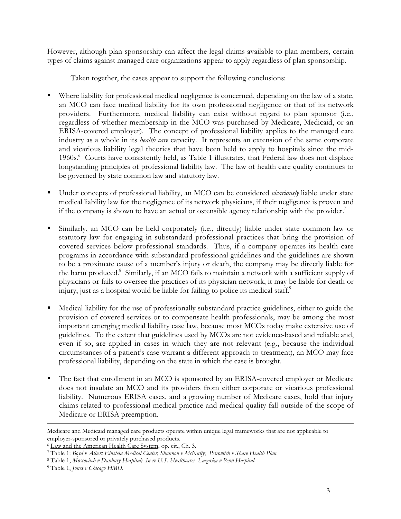However, although plan sponsorship can affect the legal claims available to plan members, certain types of claims against managed care organizations appear to apply regardless of plan sponsorship.

Taken together, the cases appear to support the following conclusions:

- Where liability for professional medical negligence is concerned, depending on the law of a state, an MCO can face medical liability for its own professional negligence or that of its network providers. Furthermore, medical liability can exist without regard to plan sponsor (i.e., regardless of whether membership in the MCO was purchased by Medicare, Medicaid, or an ERISA-covered employer). The concept of professional liability applies to the managed care industry as a whole in its *health care* capacity. It represents an extension of the same corporate and vicarious liability legal theories that have been held to apply to hospitals since the mid-1960s.<sup>6</sup> Courts have consistently held, as Table 1 illustrates, that Federal law does not displace longstanding principles of professional liability law. The law of health care quality continues to be governed by state common law and statutory law.
- Under concepts of professional liability, an MCO can be considered *vicariously* liable under state medical liability law for the negligence of its network physicians, if their negligence is proven and if the company is shown to have an actual or ostensible agency relationship with the provider.<sup>7</sup>
- Similarly, an MCO can be held corporately (i.e., directly) liable under state common law or statutory law for engaging in substandard professional practices that bring the provision of covered services below professional standards. Thus, if a company operates its health care programs in accordance with substandard professional guidelines and the guidelines are shown to be a proximate cause of a member's injury or death, the company may be directly liable for the harm produced.<sup>8</sup> Similarly, if an MCO fails to maintain a network with a sufficient supply of physicians or fails to oversee the practices of its physician network, it may be liable for death or injury, just as a hospital would be liable for failing to police its medical staff.<sup>9</sup>
- Medical liability for the use of professionally substandard practice guidelines, either to guide the provision of covered services or to compensate health professionals, may be among the most important emerging medical liability case law, because most MCOs today make extensive use of guidelines. To the extent that guidelines used by MCOs are not evidence-based and reliable and, even if so, are applied in cases in which they are not relevant (e.g., because the individual circumstances of a patient's case warrant a different approach to treatment), an MCO may face professional liability, depending on the state in which the case is brought.
- The fact that enrollment in an MCO is sponsored by an ERISA-covered employer or Medicare does not insulate an MCO and its providers from either corporate or vicarious professional liability. Numerous ERISA cases, and a growing number of Medicare cases, hold that injury claims related to professional medical practice and medical quality fall outside of the scope of Medicare or ERISA preemption.

Medicare and Medicaid managed care products operate within unique legal frameworks that are not applicable to employer-sponsored or privately purchased products.

<sup>6</sup> Law and the American Health Care System, op. cit., Ch. 3.

<sup>7</sup> Table 1: *Boyd v Albert Einstein Medical Center*; *Shannon v McNulty*; *Petrovitch v Share Health Plan*.

<sup>8</sup> Table 1, *Moscovitch v Danbury Hospital; In re U.S. Healthcare; Lazorka v Penn Hospital.*

<sup>9</sup> Table 1, *Jones v Chicago HMO.*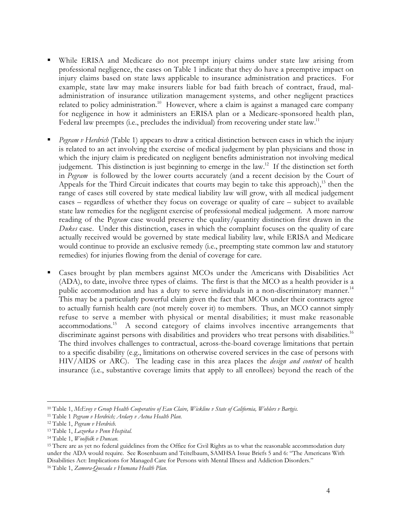- While ERISA and Medicare do not preempt injury claims under state law arising from professional negligence, the cases on Table 1 indicate that they do have a preemptive impact on injury claims based on state laws applicable to insurance administration and practices. For example, state law may make insurers liable for bad faith breach of contract, fraud, maladministration of insurance utilization management systems, and other negligent practices related to policy administration.<sup>10</sup> However, where a claim is against a managed care company for negligence in how it administers an ERISA plan or a Medicare-sponsored health plan, Federal law preempts (i.e., precludes the individual) from recovering under state law.<sup>11</sup>
- *Pegram v Herdrich* (Table 1) appears to draw a critical distinction between cases in which the injury is related to an act involving the exercise of medical judgement by plan physicians and those in which the injury claim is predicated on negligent benefits administration not involving medical judgement. This distinction is just beginning to emerge in the law.<sup>12</sup> If the distinction set forth in *Pegram* is followed by the lower courts accurately (and a recent decision by the Court of Appeals for the Third Circuit indicates that courts may begin to take this approach),  $^{13}$  then the range of cases still covered by state medical liability law will grow, with all medical judgement cases – regardless of whether they focus on coverage or quality of care – subject to available state law remedies for the negligent exercise of professional medical judgement. A more narrow reading of the P*egram* case would preserve the quality/quantity distinction first drawn in the *Dukes* case. Under this distinction, cases in which the complaint focuses on the quality of care actually received would be governed by state medical liability law, while ERISA and Medicare would continue to provide an exclusive remedy (i.e., preempting state common law and statutory remedies) for injuries flowing from the denial of coverage for care.
- Cases brought by plan members against MCOs under the Americans with Disabilities Act (ADA), to date, involve three types of claims. The first is that the MCO as a health provider is a public accommodation and has a duty to serve individuals in a non-discriminatory manner.<sup>14</sup> This may be a particularly powerful claim given the fact that MCOs under their contracts agree to actually furnish health care (not merely cover it) to members. Thus, an MCO cannot simply refuse to serve a member with physical or mental disabilities; it must make reasonable accommodations.15 A second category of claims involves incentive arrangements that discriminate against persons with disabilities and providers who treat persons with disabilities.<sup>16</sup> The third involves challenges to contractual, across-the-board coverage limitations that pertain to a specific disability (e.g., limitations on otherwise covered services in the case of persons with HIV/AIDS or ARC). The leading case in this area places the *design and content* of health insurance (i.e., substantive coverage limits that apply to all enrollees) beyond the reach of the

<sup>15</sup> There are as yet no federal guidelines from the Office for Civil Rights as to what the reasonable accommodation duty under the ADA would require. See Rosenbaum and Teitelbaum, SAMHSA Issue Briefs 5 and 6: "The Americans With Disabilities Act: Implications for Managed Care for Persons with Mental Illness and Addiction Disorders." 16 Table 1, *Zamora-Quesada v Humana Health Plan.*

 <sup>10</sup> Table 1, *McEvoy v Group Health Cooperative of Eau Claire, Wickline v State of California, Wohlers v Bartgis.*

<sup>11</sup> Table 1 *Pegram v Herdrich; Ardary v Aetna Health Plan.*

<sup>12</sup> Table 1, *Pegram v Herdrich.*

<sup>13</sup> Table 1, *Lazorka v Penn Hospital.*

<sup>14</sup> Table 1, *Woolfolk v Duncan.*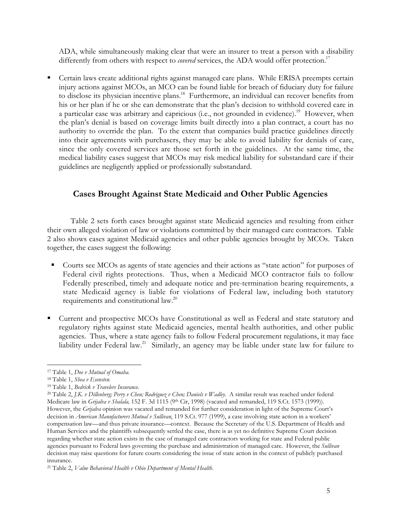ADA, while simultaneously making clear that were an insurer to treat a person with a disability differently from others with respect to *covered* services, the ADA would offer protection.<sup>17</sup>

 Certain laws create additional rights against managed care plans. While ERISA preempts certain injury actions against MCOs, an MCO can be found liable for breach of fiduciary duty for failure to disclose its physician incentive plans.<sup>18</sup> Furthermore, an individual can recover benefits from his or her plan if he or she can demonstrate that the plan's decision to withhold covered care in a particular case was arbitrary and capricious (i.e., not grounded in evidence).<sup>19</sup> However, when the plan's denial is based on coverage limits built directly into a plan contract, a court has no authority to override the plan. To the extent that companies build practice guidelines directly into their agreements with purchasers, they may be able to avoid liability for denials of care, since the only covered services are those set forth in the guidelines. At the same time, the medical liability cases suggest that MCOs may risk medical liability for substandard care if their guidelines are negligently applied or professionally substandard.

# **Cases Brought Against State Medicaid and Other Public Agencies**

Table 2 sets forth cases brought against state Medicaid agencies and resulting from either their own alleged violation of law or violations committed by their managed care contractors. Table 2 also shows cases against Medicaid agencies and other public agencies brought by MCOs. Taken together, the cases suggest the following:

- Courts see MCOs as agents of state agencies and their actions as "state action" for purposes of Federal civil rights protections. Thus, when a Medicaid MCO contractor fails to follow Federally prescribed, timely and adequate notice and pre-termination hearing requirements, a state Medicaid agency is liable for violations of Federal law, including both statutory requirements and constitutional law.20
- Current and prospective MCOs have Constitutional as well as Federal and state statutory and regulatory rights against state Medicaid agencies, mental health authorities, and other public agencies. Thus, where a state agency fails to follow Federal procurement regulations, it may face liability under Federal law.<sup>21</sup> Similarly, an agency may be liable under state law for failure to

 <sup>17</sup> Table 1, *Doe v Mutual of Omaha.*

<sup>18</sup> Table 1, *Shea v Esensten.*

<sup>19</sup> Table 1, *Bedrick v Travelers Insurance.*

<sup>20</sup> Table 2, *J.K. v Dillenberg; Perry v Chen; Rodriguez v Chen; Daniels v Wadley*. A similar result was reached under federal Medicare law in *Grijalva v Shalala*, 152 F. 3d 1115 (9<sup>th</sup> Cir, 1998) (vacated and remanded, 119 S.Ct. 1573 (1999)). However, the *Grijalva* opinion was vacated and remanded for further consideration in light of the Supreme Court's decision in *American Manufacturers Mutual v Sullivan*, 119 S.Ct. 977 (1999), a case involving state action in a workers' compensation law—and thus private insurance—context. Because the Secretary of the U.S. Department of Health and Human Services and the plaintiffs subsequently settled the case, there is as yet no definitive Supreme Court decision regarding whether state action exists in the case of managed care contractors working for state and Federal public agencies pursuant to Federal laws governing the purchase and administration of managed care. However, the *Sullivan* decision may raise questions for future courts considering the issue of state action in the context of publicly purchased insurance.

<sup>21</sup> Table 2, *Value Behavioral Health v Ohio Department of Mental Health.*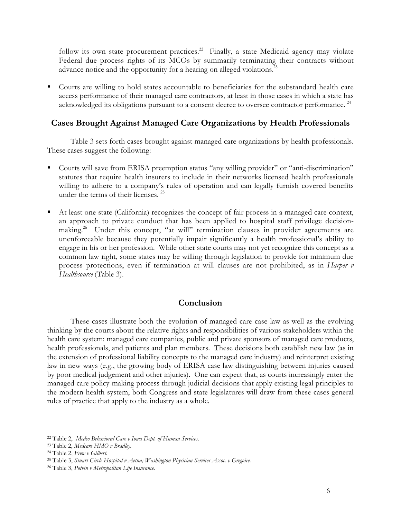follow its own state procurement practices.<sup>22</sup> Finally, a state Medicaid agency may violate Federal due process rights of its MCOs by summarily terminating their contracts without advance notice and the opportunity for a hearing on alleged violations.<sup>23</sup>

 Courts are willing to hold states accountable to beneficiaries for the substandard health care access performance of their managed care contractors, at least in those cases in which a state has acknowledged its obligations pursuant to a consent decree to oversee contractor performance.<sup>24</sup>

# **Cases Brought Against Managed Care Organizations by Health Professionals**

Table 3 sets forth cases brought against managed care organizations by health professionals. These cases suggest the following:

- Courts will save from ERISA preemption status "any willing provider" or "anti-discrimination" statutes that require health insurers to include in their networks licensed health professionals willing to adhere to a company's rules of operation and can legally furnish covered benefits under the terms of their licenses.<sup>25</sup>
- At least one state (California) recognizes the concept of fair process in a managed care context, an approach to private conduct that has been applied to hospital staff privilege decisionmaking.<sup>26</sup> Under this concept, "at will" termination clauses in provider agreements are unenforceable because they potentially impair significantly a health professional's ability to engage in his or her profession. While other state courts may not yet recognize this concept as a common law right, some states may be willing through legislation to provide for minimum due process protections, even if termination at will clauses are not prohibited, as in *Harper v Healthsource* (Table 3).

## **Conclusion**

These cases illustrate both the evolution of managed care case law as well as the evolving thinking by the courts about the relative rights and responsibilities of various stakeholders within the health care system: managed care companies, public and private sponsors of managed care products, health professionals, and patients and plan members. These decisions both establish new law (as in the extension of professional liability concepts to the managed care industry) and reinterpret existing law in new ways (e.g., the growing body of ERISA case law distinguishing between injuries caused by poor medical judgement and other injuries). One can expect that, as courts increasingly enter the managed care policy-making process through judicial decisions that apply existing legal principles to the modern health system, both Congress and state legislatures will draw from these cases general rules of practice that apply to the industry as a whole.

 <sup>22</sup> Table 2, *Medco Behavioral Care v Iowa Dept. of Human Services.*

<sup>23</sup> Table 2, *Medcare HMO v Bradley.*

<sup>24</sup> Table 2, *Frew v Gilbert.*

<sup>25</sup> Table 3, *Stuart Circle Hospital v Aetna; Washington Physician Services Assoc. v Gregoire.*

<sup>26</sup> Table 3, *Potvin v Metropolitan Life Insurance.*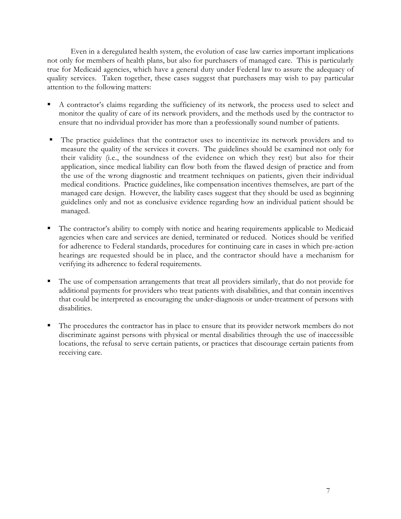Even in a deregulated health system, the evolution of case law carries important implications not only for members of health plans, but also for purchasers of managed care. This is particularly true for Medicaid agencies, which have a general duty under Federal law to assure the adequacy of quality services. Taken together, these cases suggest that purchasers may wish to pay particular attention to the following matters:

- A contractor's claims regarding the sufficiency of its network, the process used to select and monitor the quality of care of its network providers, and the methods used by the contractor to ensure that no individual provider has more than a professionally sound number of patients.
- The practice guidelines that the contractor uses to incentivize its network providers and to measure the quality of the services it covers. The guidelines should be examined not only for their validity (i.e., the soundness of the evidence on which they rest) but also for their application, since medical liability can flow both from the flawed design of practice and from the use of the wrong diagnostic and treatment techniques on patients, given their individual medical conditions. Practice guidelines, like compensation incentives themselves, are part of the managed care design. However, the liability cases suggest that they should be used as beginning guidelines only and not as conclusive evidence regarding how an individual patient should be managed.
- The contractor's ability to comply with notice and hearing requirements applicable to Medicaid agencies when care and services are denied, terminated or reduced. Notices should be verified for adherence to Federal standards, procedures for continuing care in cases in which pre-action hearings are requested should be in place, and the contractor should have a mechanism for verifying its adherence to federal requirements.
- The use of compensation arrangements that treat all providers similarly, that do not provide for additional payments for providers who treat patients with disabilities, and that contain incentives that could be interpreted as encouraging the under-diagnosis or under-treatment of persons with disabilities.
- The procedures the contractor has in place to ensure that its provider network members do not discriminate against persons with physical or mental disabilities through the use of inaccessible locations, the refusal to serve certain patients, or practices that discourage certain patients from receiving care.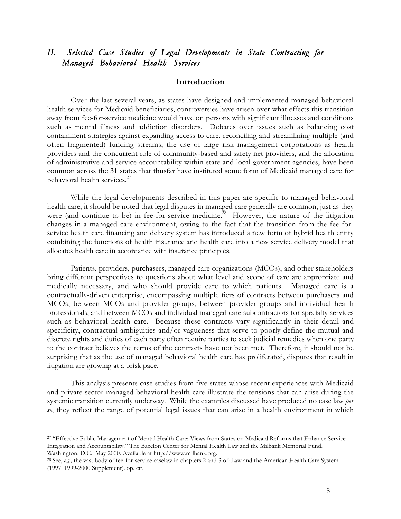# *II. Selected Case Studies of Legal Developments in State Contracting for Managed Behavioral Health Services*

### **Introduction**

Over the last several years, as states have designed and implemented managed behavioral health services for Medicaid beneficiaries, controversies have arisen over what effects this transition away from fee-for-service medicine would have on persons with significant illnesses and conditions such as mental illness and addiction disorders. Debates over issues such as balancing cost containment strategies against expanding access to care, reconciling and streamlining multiple (and often fragmented) funding streams, the use of large risk management corporations as health providers and the concurrent role of community-based and safety net providers, and the allocation of administrative and service accountability within state and local government agencies, have been common across the 31 states that thusfar have instituted some form of Medicaid managed care for behavioral health services. $27$ 

While the legal developments described in this paper are specific to managed behavioral health care, it should be noted that legal disputes in managed care generally are common, just as they were (and continue to be) in fee-for-service medicine.<sup>28</sup> However, the nature of the litigation changes in a managed care environment, owing to the fact that the transition from the fee-forservice health care financing and delivery system has introduced a new form of hybrid health entity combining the functions of health insurance and health care into a new service delivery model that allocates health care in accordance with insurance principles.

Patients, providers, purchasers, managed care organizations (MCOs), and other stakeholders bring different perspectives to questions about what level and scope of care are appropriate and medically necessary, and who should provide care to which patients. Managed care is a contractually-driven enterprise, encompassing multiple tiers of contracts between purchasers and MCOs, between MCOs and provider groups, between provider groups and individual health professionals, and between MCOs and individual managed care subcontractors for specialty services such as behavioral health care. Because these contracts vary significantly in their detail and specificity, contractual ambiguities and/or vagueness that serve to poorly define the mutual and discrete rights and duties of each party often require parties to seek judicial remedies when one party to the contract believes the terms of the contracts have not been met. Therefore, it should not be surprising that as the use of managed behavioral health care has proliferated, disputes that result in litigation are growing at a brisk pace.

This analysis presents case studies from five states whose recent experiences with Medicaid and private sector managed behavioral health care illustrate the tensions that can arise during the systemic transition currently underway. While the examples discussed have produced no case law *per se*, they reflect the range of potential legal issues that can arise in a health environment in which

<sup>&</sup>lt;sup>27</sup> "Effective Public Management of Mental Health Care: Views from States on Medicaid Reforms that Enhance Service Integration and Accountability." The Bazelon Center for Mental Health Law and the Milbank Memorial Fund. Washington, D.C. May 2000. Available at http://www.milbank.org.

<sup>28</sup> See, *e.g.,* the vast body of fee-for-service caselaw in chapters 2 and 3 of: Law and the American Health Care System. (1997; 1999-2000 Supplement). op. cit.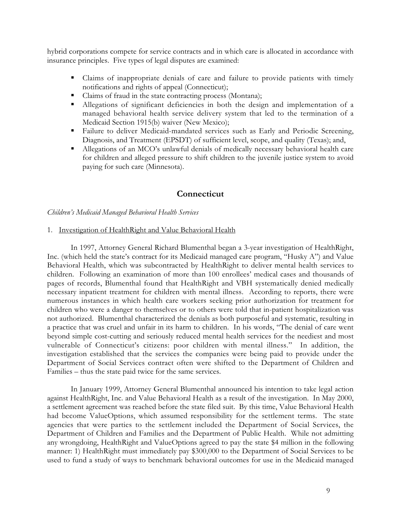hybrid corporations compete for service contracts and in which care is allocated in accordance with insurance principles. Five types of legal disputes are examined:

- Claims of inappropriate denials of care and failure to provide patients with timely notifications and rights of appeal (Connecticut);
- Claims of fraud in the state contracting process (Montana);
- Allegations of significant deficiencies in both the design and implementation of a managed behavioral health service delivery system that led to the termination of a Medicaid Section 1915(b) waiver (New Mexico);
- Failure to deliver Medicaid-mandated services such as Early and Periodic Screening, Diagnosis, and Treatment (EPSDT) of sufficient level, scope, and quality (Texas); and,
- Allegations of an MCO's unlawful denials of medically necessary behavioral health care for children and alleged pressure to shift children to the juvenile justice system to avoid paying for such care (Minnesota).

## **Connecticut**

*Children's Medicaid Managed Behavioral Health Services*

#### 1. Investigation of HealthRight and Value Behavioral Health

In 1997, Attorney General Richard Blumenthal began a 3-year investigation of HealthRight, Inc. (which held the state's contract for its Medicaid managed care program, "Husky A") and Value Behavioral Health, which was subcontracted by HealthRight to deliver mental health services to children. Following an examination of more than 100 enrollees' medical cases and thousands of pages of records, Blumenthal found that HealthRight and VBH systematically denied medically necessary inpatient treatment for children with mental illness. According to reports, there were numerous instances in which health care workers seeking prior authorization for treatment for children who were a danger to themselves or to others were told that in-patient hospitalization was not authorized. Blumenthal characterized the denials as both purposeful and systematic, resulting in a practice that was cruel and unfair in its harm to children. In his words, "The denial of care went beyond simple cost-cutting and seriously reduced mental health services for the neediest and most vulnerable of Connecticut's citizens: poor children with mental illness." In addition, the investigation established that the services the companies were being paid to provide under the Department of Social Services contract often were shifted to the Department of Children and Families – thus the state paid twice for the same services.

In January 1999, Attorney General Blumenthal announced his intention to take legal action against HealthRight, Inc. and Value Behavioral Health as a result of the investigation. In May 2000, a settlement agreement was reached before the state filed suit. By this time, Value Behavioral Health had become ValueOptions, which assumed responsibility for the settlement terms. The state agencies that were parties to the settlement included the Department of Social Services, the Department of Children and Families and the Department of Public Health. While not admitting any wrongdoing, HealthRight and ValueOptions agreed to pay the state \$4 million in the following manner: 1) HealthRight must immediately pay \$300,000 to the Department of Social Services to be used to fund a study of ways to benchmark behavioral outcomes for use in the Medicaid managed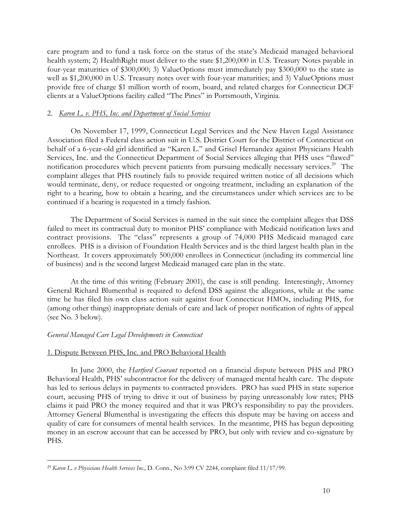care program and to fund a task force on the status of the state's Medicaid managed behavioral health system; 2) HealthRight must deliver to the state \$1,200,000 in U.S. Treasury Notes payable in four-year maturities of \$300,000; 3) ValueOptions must immediately pay \$300,000 to the state as well as \$1,200,000 in U.S. Treasury notes over with four-year maturities; and 3) ValueOptions must provide free of charge \$1 million worth of room, board, and related charges for Connecticut DCF clients at a ValueOptions facility called "The Pines" in Portsmouth, Virginia.

### 2. *Karen L. v. PHS, Inc. and Department of Social Services*

On November 17, 1999, Connecticut Legal Services and the New Haven Legal Assistance Association filed a Federal class action suit in U.S. District Court for the District of Connecticut on behalf of a 6-year-old girl identified as "Karen L." and Grisel Hernandez against Physicians Health Services, Inc. and the Connecticut Department of Social Services alleging that PHS uses "flawed" notification procedures which prevent patients from pursuing medically necessary services.<sup>29</sup> The complaint alleges that PHS routinely fails to provide required written notice of all decisions which would terminate, deny, or reduce requested or ongoing treatment, including an explanation of the right to a hearing, how to obtain a hearing, and the circumstances under which services are to be continued if a hearing is requested in a timely fashion.

The Department of Social Services is named in the suit since the complaint alleges that DSS failed to meet its contractual duty to monitor PHS' compliance with Medicaid notification laws and contract provisions. The "class" represents a group of 74,000 PHS Medicaid managed care enrollees. PHS is a division of Foundation Health Services and is the third largest health plan in the Northeast. It covers approximately 500,000 enrollees in Connecticut (including its commercial line of business) and is the second largest Medicaid managed care plan in the state.

At the time of this writing (February 2001), the case is still pending. Interestingly, Attorney General Richard Blumenthal is required to defend DSS against the allegations, while at the same time he has filed his own class action suit against four Connecticut HMOs, including PHS, for (among other things) inappropriate denials of care and lack of proper notification of rights of appeal (see No. 3 below).

### *General Managed Care Legal Developments in Connecticut*

#### 1. Dispute Between PHS, Inc. and PRO Behavioral Health

In June 2000, the *Hartford Courant* reported on a financial dispute between PHS and PRO Behavioral Health, PHS' subcontractor for the delivery of managed mental health care. The dispute has led to serious delays in payments to contracted providers. PRO has sued PHS in state superior court, accusing PHS of trying to drive it out of business by paying unreasonably low rates; PHS claims it paid PRO the money required and that it was PRO's responsibility to pay the providers. Attorney General Blumenthal is investigating the effects this dispute may be having on access and quality of care for consumers of mental health services. In the meantime, PHS has begun depositing money in an escrow account that can be accessed by PRO, but only with review and co-signature by PHS.

 <sup>29</sup> *Karen L. v Physicians Health Services Inc*., D. Conn., No 3:99 CV 2244, complaint filed 11/17/99.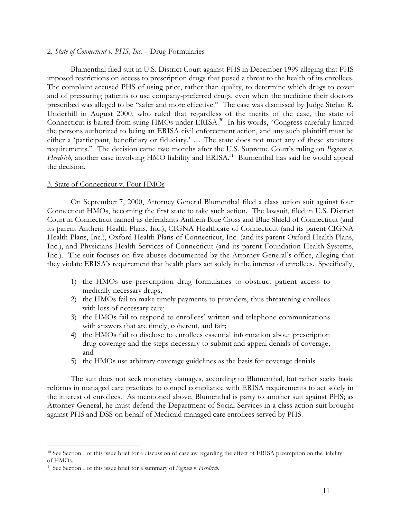#### 2. *State of Connecticut v. PHS, Inc.* – Drug Formularies

Blumenthal filed suit in U.S. District Court against PHS in December 1999 alleging that PHS imposed restrictions on access to prescription drugs that posed a threat to the health of its enrollees. The complaint accused PHS of using price, rather than quality, to determine which drugs to cover and of pressuring patients to use company-preferred drugs, even when the medicine their doctors prescribed was alleged to be "safer and more effective." The case was dismissed by Judge Stefan R. Underhill in August 2000, who ruled that regardless of the merits of the case, the state of Connecticut is barred from suing HMOs under ERISA.<sup>30</sup> In his words, "Congress carefully limited the persons authorized to being an ERISA civil enforcement action, and any such plaintiff must be either a 'participant, beneficiary or fiduciary.' … The state does not meet any of these statutory requirements." The decision came two months after the U.S. Supreme Court's ruling on *Pegram v. Herdrich*, another case involving HMO liability and ERISA.<sup>31</sup> Blumenthal has said he would appeal the decision.

#### 3. State of Connecticut v. Four HMOs

On September 7, 2000, Attorney General Blumenthal filed a class action suit against four Connecticut HMOs, becoming the first state to take such action. The lawsuit, filed in U.S. District Court in Connecticut named as defendants Anthem Blue Cross and Blue Shield of Connecticut (and its parent Anthem Health Plans, Inc.), CIGNA Healthcare of Connecticut (and its parent CIGNA Health Plans, Inc.), Oxford Health Plans of Connecticut, Inc. (and its parent Oxford Health Plans, Inc.), and Physicians Health Services of Connecticut (and its parent Foundation Health Systems, Inc.). The suit focuses on five abuses documented by the Attorney General's office, alleging that they violate ERISA's requirement that health plans act solely in the interest of enrollees. Specifically,

- 1) the HMOs use prescription drug formularies to obstruct patient access to medically necessary drugs;
- 2) the HMOs fail to make timely payments to providers, thus threatening enrollees with loss of necessary care;
- 3) the HMOs fail to respond to enrollees' written and telephone communications with answers that are timely, coherent, and fair;
- 4) the HMOs fail to disclose to enrollees essential information about prescription drug coverage and the steps necessary to submit and appeal denials of coverage; and
- 5) the HMOs use arbitrary coverage guidelines as the basis for coverage denials.

The suit does not seek monetary damages, according to Blumenthal, but rather seeks basic reforms in managed care practices to compel compliance with ERISA requirements to act solely in the interest of enrollees. As mentioned above, Blumenthal is party to another suit against PHS; as Attorney General, he must defend the Department of Social Services in a class action suit brought against PHS and DSS on behalf of Medicaid managed care enrollees served by PHS.

 <sup>30</sup> See Section I of this issue brief for a discussion of caselaw regarding the effect of ERISA preemption on the liability of HMOs.

<sup>31</sup> See Section I of this issue brief for a summary of *Pegram v. Herdrich*.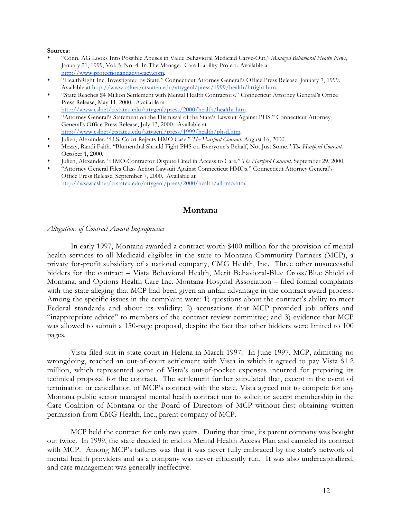#### **Sources:**

- "Conn. AG Looks Into Possible Abuses in Value Behavioral Medicaid Carve-Out," *Managed Behavioral Health News*, January 21, 1999, Vol. 5, No. 4. In The Managed Care Liability Project. Available at http://www.protectionandadvocacy.com.
- "HealthRight Inc. Investigated by State." Connecticut Attorney General's Office Press Release, January 7, 1999. Available at http://www.cslnet/ctstateu.edu/attygenl/press/1999/health/htright.htm.
- "State Reaches \$4 Million Settlement with Mental Health Contractors." Connecticut Attorney General's Office Press Release, May 11, 2000. Available at http://www.cslnet/ctstateu.edu/attygenl/press/2000/health/healthr.htm.
- "Attorney General's Statement on the Dismissal of the State's Lawsuit Against PHS." Connecticut Attorney General's Office Press Release, July 13, 2000. Available at
- http://www.cslnet/ctstateu.edu/attygenl/press/1999/health/phsd.htm.
- Julien, Alexander. "U.S. Court Rejects HMO Case." *The Hartford Courant*. August 16, 2000.
- Mezzy, Randi Faith. "Blumenthal Should Fight PHS on Everyone's Behalf, Not Just Some." *The Hartford Courant*. October 1, 2000.
- Julien, Alexander. "HMO-Contractor Dispute Cited in Access to Care." *The Hartford Courant*. September 29, 2000.
- "Attorney General Files Class Action Lawsuit Against Connecticut HMOs." Connecticut Attorney General's Office Press Release, September 7, 2000. Available at http://www.cslnet/ctstateu.edu/attygenl/press/2000/health/allhmo.htm.

# **Montana**

#### *Allegations of Contract Award Improprieties*

In early 1997, Montana awarded a contract worth \$400 million for the provision of mental health services to all Medicaid eligibles in the state to Montana Community Partners (MCP), a private for-profit subsidiary of a national company, CMG Health, Inc. Three other unsuccessful bidders for the contract – Vista Behavioral Health, Merit Behavioral-Blue Cross/Blue Shield of Montana, and Options Health Care Inc.-Montana Hospital Association – filed formal complaints with the state alleging that MCP had been given an unfair advantage in the contract award process. Among the specific issues in the complaint were: 1) questions about the contract's ability to meet Federal standards and about its validity; 2) accusations that MCP provided job offers and "inappropriate advice" to members of the contract review committee; and 3) evidence that MCP was allowed to submit a 150-page proposal, despite the fact that other bidders were limited to 100 pages.

Vista filed suit in state court in Helena in March 1997. In June 1997, MCP, admitting no wrongdoing, reached an out-of-court settlement with Vista in which it agreed to pay Vista \$1.2 million, which represented some of Vista's out-of-pocket expenses incurred for preparing its technical proposal for the contract. The settlement further stipulated that, except in the event of termination or cancellation of MCP's contract with the state, Vista agreed not to compete for any Montana public sector managed mental health contract nor to solicit or accept membership in the Care Coalition of Montana or the Board of Directors of MCP without first obtaining written permission from CMG Health, Inc., parent company of MCP.

MCP held the contract for only two years. During that time, its parent company was bought out twice. In 1999, the state decided to end its Mental Health Access Plan and canceled its contract with MCP. Among MCP's failures was that it was never fully embraced by the state's network of mental health providers and as a company was never efficiently run. It was also undercapitalized, and care management was generally ineffective.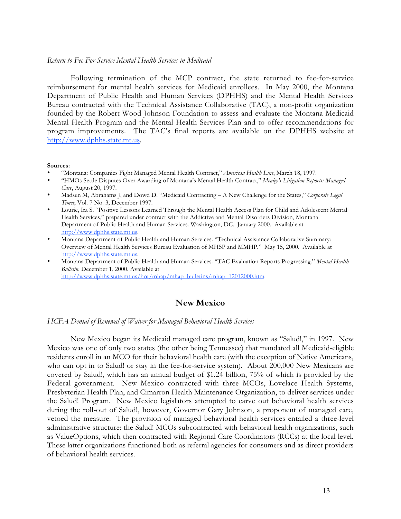#### *Return to Fee-For-Service Mental Health Services in Medicaid*

Following termination of the MCP contract, the state returned to fee-for-service reimbursement for mental health services for Medicaid enrollees. In May 2000, the Montana Department of Public Health and Human Services (DPHHS) and the Mental Health Services Bureau contracted with the Technical Assistance Collaborative (TAC), a non-profit organization founded by the Robert Wood Johnson Foundation to assess and evaluate the Montana Medicaid Mental Health Program and the Mental Health Services Plan and to offer recommendations for program improvements. The TAC's final reports are available on the DPHHS website at http://www.dphhs.state.mt.us.

#### **Sources:**

- "Montana: Companies Fight Managed Mental Health Contract," *American Health Line*, March 18, 1997.
- "HMOs Settle Disputes Over Awarding of Montana's Mental Health Contract," *Mealey's Litigation Reports: Managed Care*, August 20, 1997.
- Madsen M, Abrahams J, and Dowd D. "Medicaid Contracting A New Challenge for the States," *Corporate Legal Times*, Vol. 7 No. 3, December 1997.
- Lourie, Ira S. "Positive Lessons Learned Through the Mental Health Access Plan for Child and Adolescent Mental Health Services," prepared under contract with the Addictive and Mental Disorders Division, Montana Department of Public Health and Human Services. Washington, DC. January 2000. Available at http://www.dphhs.state.mt.us.
- Montana Department of Public Health and Human Services. "Technical Assistance Collaborative Summary: Overview of Mental Health Services Bureau Evaluation of MHSP and MMHP." May 15, 2000. Available at http://www.dphhs.state.mt.us.
- Montana Department of Public Health and Human Services. "TAC Evaluation Reports Progressing." *Mental Health Bulletin*. December 1, 2000. Available at http://www.dphhs.state.mt.us/hot/mhap/mhap\_bulletins/mhap\_12012000.htm.

# **New Mexico**

#### *HCFA Denial of Renewal of Waiver for Managed Behavioral Health Services*

New Mexico began its Medicaid managed care program, known as "Salud!," in 1997. New Mexico was one of only two states (the other being Tennessee) that mandated all Medicaid-eligible residents enroll in an MCO for their behavioral health care (with the exception of Native Americans, who can opt in to Salud! or stay in the fee-for-service system). About 200,000 New Mexicans are covered by Salud!, which has an annual budget of \$1.24 billion, 75% of which is provided by the Federal government. New Mexico contracted with three MCOs, Lovelace Health Systems, Presbyterian Health Plan, and Cimarron Health Maintenance Organization, to deliver services under the Salud! Program. New Mexico legislators attempted to carve out behavioral health services during the roll-out of Salud!, however, Governor Gary Johnson, a proponent of managed care, vetoed the measure. The provision of managed behavioral health services entailed a three-level administrative structure: the Salud! MCOs subcontracted with behavioral health organizations, such as ValueOptions, which then contracted with Regional Care Coordinators (RCCs) at the local level. These latter organizations functioned both as referral agencies for consumers and as direct providers of behavioral health services.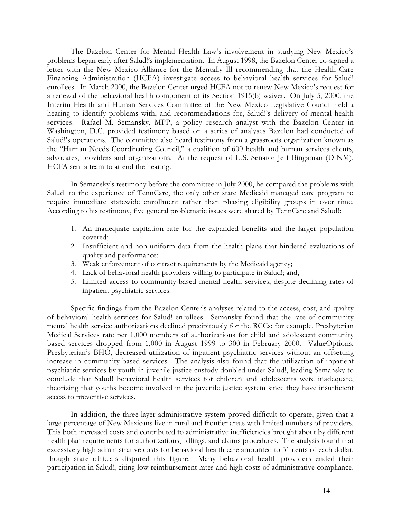The Bazelon Center for Mental Health Law's involvement in studying New Mexico's problems began early after Salud!'s implementation. In August 1998, the Bazelon Center co-signed a letter with the New Mexico Alliance for the Mentally Ill recommending that the Health Care Financing Administration (HCFA) investigate access to behavioral health services for Salud! enrollees. In March 2000, the Bazelon Center urged HCFA not to renew New Mexico's request for a renewal of the behavioral health component of its Section 1915(b) waiver. On July 5, 2000, the Interim Health and Human Services Committee of the New Mexico Legislative Council held a hearing to identify problems with, and recommendations for, Salud!'s delivery of mental health services. Rafael M. Semansky, MPP, a policy research analyst with the Bazelon Center in Washington, D.C. provided testimony based on a series of analyses Bazelon had conducted of Salud!'s operations. The committee also heard testimony from a grassroots organization known as the "Human Needs Coordinating Council," a coalition of 600 health and human services clients, advocates, providers and organizations. At the request of U.S. Senator Jeff Bingaman (D-NM), HCFA sent a team to attend the hearing.

In Semansky's testimony before the committee in July 2000, he compared the problems with Salud! to the experience of TennCare, the only other state Medicaid managed care program to require immediate statewide enrollment rather than phasing eligibility groups in over time. According to his testimony, five general problematic issues were shared by TennCare and Salud!:

- 1. An inadequate capitation rate for the expanded benefits and the larger population covered;
- 2. Insufficient and non-uniform data from the health plans that hindered evaluations of quality and performance;
- 3. Weak enforcement of contract requirements by the Medicaid agency;
- 4. Lack of behavioral health providers willing to participate in Salud!; and,
- 5. Limited access to community-based mental health services, despite declining rates of inpatient psychiatric services.

Specific findings from the Bazelon Center's analyses related to the access, cost, and quality of behavioral health services for Salud! enrollees. Semansky found that the rate of community mental health service authorizations declined precipitously for the RCCs; for example, Presbyterian Medical Services rate per 1,000 members of authorizations for child and adolescent community based services dropped from 1,000 in August 1999 to 300 in February 2000. ValueOptions, Presbyterian's BHO, decreased utilization of inpatient psychiatric services without an offsetting increase in community-based services. The analysis also found that the utilization of inpatient psychiatric services by youth in juvenile justice custody doubled under Salud!, leading Semansky to conclude that Salud! behavioral health services for children and adolescents were inadequate, theorizing that youths become involved in the juvenile justice system since they have insufficient access to preventive services.

In addition, the three-layer administrative system proved difficult to operate, given that a large percentage of New Mexicans live in rural and frontier areas with limited numbers of providers. This both increased costs and contributed to administrative inefficiencies brought about by different health plan requirements for authorizations, billings, and claims procedures. The analysis found that excessively high administrative costs for behavioral health care amounted to 51 cents of each dollar, though state officials disputed this figure. Many behavioral health providers ended their participation in Salud!, citing low reimbursement rates and high costs of administrative compliance.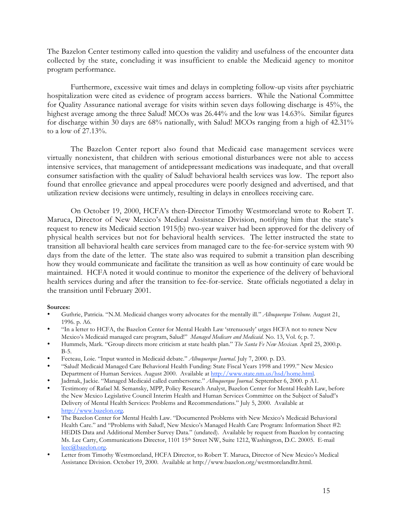The Bazelon Center testimony called into question the validity and usefulness of the encounter data collected by the state, concluding it was insufficient to enable the Medicaid agency to monitor program performance.

Furthermore, excessive wait times and delays in completing follow-up visits after psychiatric hospitalization were cited as evidence of program access barriers. While the National Committee for Quality Assurance national average for visits within seven days following discharge is 45%, the highest average among the three Salud! MCOs was 26.44% and the low was 14.63%. Similar figures for discharge within 30 days are 68% nationally, with Salud! MCOs ranging from a high of 42.31% to a low of 27.13%.

The Bazelon Center report also found that Medicaid case management services were virtually nonexistent, that children with serious emotional disturbances were not able to access intensive services, that management of antidepressant medications was inadequate, and that overall consumer satisfaction with the quality of Salud! behavioral health services was low. The report also found that enrollee grievance and appeal procedures were poorly designed and advertised, and that utilization review decisions were untimely, resulting in delays in enrollees receiving care.

On October 19, 2000, HCFA's then-Director Timothy Westmoreland wrote to Robert T. Maruca, Director of New Mexico's Medical Assistance Division, notifying him that the state's request to renew its Medicaid section 1915(b) two-year waiver had been approved for the delivery of physical health services but not for behavioral health services. The letter instructed the state to transition all behavioral health care services from managed care to the fee-for-service system with 90 days from the date of the letter. The state also was required to submit a transition plan describing how they would communicate and facilitate the transition as well as how continuity of care would be maintained. HCFA noted it would continue to monitor the experience of the delivery of behavioral health services during and after the transition to fee-for-service. State officials negotiated a delay in the transition until February 2001.

#### **Sources:**

- Guthrie, Patricia. "N.M. Medicaid changes worry advocates for the mentally ill." *Albuquerque Tribune*. August 21, 1996. p. A6.
- "In a letter to HCFA, the Bazelon Center for Mental Health Law 'strenuously' urges HCFA not to renew New Mexico's Medicaid managed care program, Salud!" *Managed Medicare and Medicaid.* No. 13, Vol. 6; p. 7.
- Hummels, Mark. "Group directs more criticism at state health plan." *The Santa Fe New Mexican.* April 25, 2000.p. B-5.
- Fecteau, Loie. "Input wanted in Medicaid debate." *Albuquerque Journal*. July 7, 2000. p. D3.
- "Salud! Medicaid Managed Care Behavioral Health Funding: State Fiscal Years 1998 and 1999." New Mexico Department of Human Services. August 2000. Available at http://www.state.nm.us/hsd/home.html.
- Jadrnak, Jackie. "Managed Medicaid called cumbersome." *Albuquerque Journal*. September 6, 2000. p A1.
- Testimony of Rafael M. Semansky, MPP, Policy Research Analyst, Bazelon Center for Mental Health Law, before the New Mexico Legislative Council Interim Health and Human Services Committee on the Subject of Salud!'s Delivery of Mental Health Services: Problems and Recommendations." July 5, 2000. Available at http://www.bazelon.org.
- The Bazelon Center for Mental Health Law. "Documented Problems with New Mexico's Medicaid Behavioral Health Care." and "Problems with Salud!, New Mexico's Managed Health Care Program: Information Sheet #2: HEDIS Data and Additional Member Survey Data." (undated). Available by request from Bazelon by contacting Ms. Lee Carty, Communications Director, 1101 15th Street NW, Suite 1212, Washington, D.C. 20005. E-mail leec@bazelon.org.
- Letter from Timothy Westmoreland, HCFA Director, to Robert T. Maruca, Director of New Mexico's Medical Assistance Division. October 19, 2000. Available at http://www.bazelon.org/westmorelandltr.html.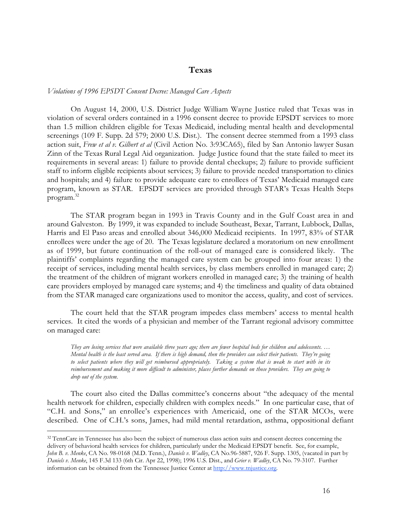### **Texas**

#### *Violations of 1996 EPSDT Consent Decree: Managed Care Aspects*

On August 14, 2000, U.S. District Judge William Wayne Justice ruled that Texas was in violation of several orders contained in a 1996 consent decree to provide EPSDT services to more than 1.5 million children eligible for Texas Medicaid, including mental health and developmental screenings (109 F. Supp. 2d 579; 2000 U.S. Dist.). The consent decree stemmed from a 1993 class action suit, *Frew et al v. Gilbert et al* (Civil Action No. 3:93CA65), filed by San Antonio lawyer Susan Zinn of the Texas Rural Legal Aid organization. Judge Justice found that the state failed to meet its requirements in several areas: 1) failure to provide dental checkups; 2) failure to provide sufficient staff to inform eligible recipients about services; 3) failure to provide needed transportation to clinics and hospitals; and 4) failure to provide adequate care to enrollees of Texas' Medicaid managed care program, known as STAR. EPSDT services are provided through STAR's Texas Health Steps program.<sup>32</sup>

The STAR program began in 1993 in Travis County and in the Gulf Coast area in and around Galveston. By 1999, it was expanded to include Southeast, Bexar, Tarrant, Lubbock, Dallas, Harris and El Paso areas and enrolled about 346,000 Medicaid recipients. In 1997, 83% of STAR enrollees were under the age of 20. The Texas legislature declared a moratorium on new enrollment as of 1999, but future continuation of the roll-out of managed care is considered likely. The plaintiffs' complaints regarding the managed care system can be grouped into four areas: 1) the receipt of services, including mental health services, by class members enrolled in managed care; 2) the treatment of the children of migrant workers enrolled in managed care; 3) the training of health care providers employed by managed care systems; and 4) the timeliness and quality of data obtained from the STAR managed care organizations used to monitor the access, quality, and cost of services.

The court held that the STAR program impedes class members' access to mental health services. It cited the words of a physician and member of the Tarrant regional advisory committee on managed care:

*They are losing services that were available three years ago; there are fewer hospital beds for children and adolescents. … Mental health is the least served area. If there is high demand, then the providers can select their patients. They're going to select patients where they will get reimbursed appropriately. Taking a system that is weak to start with in its reimbursement and making it more difficult to administer, places further demands on those providers. They are going to drop out of the system.*

The court also cited the Dallas committee's concerns about "the adequacy of the mental health network for children, especially children with complex needs." In one particular case, that of "C.H. and Sons," an enrollee's experiences with Americaid, one of the STAR MCOs, were described. One of C.H.'s sons, James, had mild mental retardation, asthma, oppositional defiant

 <sup>32</sup> TennCare in Tennessee has also been the subject of numerous class action suits and consent decrees concerning the delivery of behavioral health services for children, particularly under the Medicaid EPSDT benefit. See, for example, *John B. v. Menke*, CA No. 98-0168 (M.D. Tenn.), *Daniels v. Wadley*, CA No.96-5887, 926 F. Supp. 1305, (vacated in part by *Daniels v. Menke*, 145 F.3d 133 (6th Cir. Apr 22, 1998); 1996 U.S. Dist., and *Grier v. Wadley*, CA No. 79-3107. Further information can be obtained from the Tennessee Justice Center at http://www.tnjustice.org.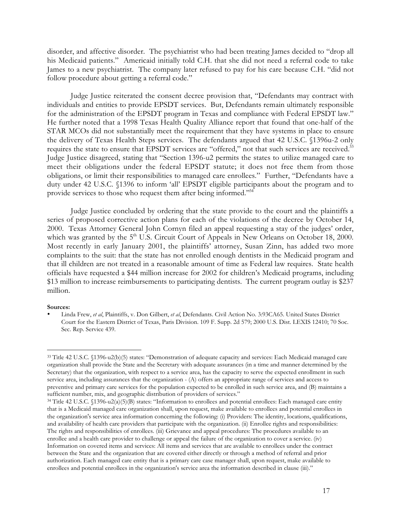disorder, and affective disorder. The psychiatrist who had been treating James decided to "drop all his Medicaid patients." Americaid initially told C.H. that she did not need a referral code to take James to a new psychiatrist. The company later refused to pay for his care because C.H. "did not follow procedure about getting a referral code."

Judge Justice reiterated the consent decree provision that, "Defendants may contract with individuals and entities to provide EPSDT services. But, Defendants remain ultimately responsible for the administration of the EPSDT program in Texas and compliance with Federal EPSDT law." He further noted that a 1998 Texas Health Quality Alliance report that found that one-half of the STAR MCOs did not substantially meet the requirement that they have systems in place to ensure the delivery of Texas Health Steps services. The defendants argued that 42 U.S.C. §1396u-2 only requires the state to ensure that EPSDT services are "offered," not that such services are received.<sup>33</sup> Judge Justice disagreed, stating that "Section 1396-u2 permits the states to utilize managed care to meet their obligations under the federal EPSDT statute; it does not free them from those obligations, or limit their responsibilities to managed care enrollees." Further, "Defendants have a duty under 42 U.S.C. §1396 to inform 'all' EPSDT eligible participants about the program and to provide services to those who request them after being informed."<sup>34</sup>

Judge Justice concluded by ordering that the state provide to the court and the plaintiffs a series of proposed corrective action plans for each of the violations of the decree by October 14, 2000. Texas Attorney General John Cornyn filed an appeal requesting a stay of the judges' order, which was granted by the 5<sup>th</sup> U.S. Circuit Court of Appeals in New Orleans on October 18, 2000. Most recently in early January 2001, the plaintiffs' attorney, Susan Zinn, has added two more complaints to the suit: that the state has not enrolled enough dentists in the Medicaid program and that ill children are not treated in a reasonable amount of time as Federal law requires. State health officials have requested a \$44 million increase for 2002 for children's Medicaid programs, including \$13 million to increase reimbursements to participating dentists. The current program outlay is \$237 million.

#### **Sources:**

<sup>•</sup> Linda Frew, *et al*, Plaintiffs, v. Don Gilbert, *et al*, Defendants. Civil Action No. 3:93CA65. United States District Court for the Eastern District of Texas, Paris Division. 109 F. Supp. 2d 579; 2000 U.S. Dist. LEXIS 12410; 70 Soc. Sec. Rep. Service 439.

 <sup>33</sup> Title 42 U.S.C. §1396-u2(b)(5) states: "Demonstration of adequate capacity and services: Each Medicaid managed care organization shall provide the State and the Secretary with adequate assurances (in a time and manner determined by the Secretary) that the organization, with respect to a service area, has the capacity to serve the expected enrollment in such service area, including assurances that the organization - (A) offers an appropriate range of services and access to preventive and primary care services for the population expected to be enrolled in such service area, and (B) maintains a sufficient number, mix, and geographic distribution of providers of services."

<sup>34</sup> Title 42 U.S.C. §1396-u2(a)(5)(B) states: "Information to enrollees and potential enrollees: Each managed care entity that is a Medicaid managed care organization shall, upon request, make available to enrollees and potential enrollees in the organization's service area information concerning the following: (i) Providers: The identity, locations, qualifications, and availability of health care providers that participate with the organization. (ii) Enrollee rights and responsibilities: The rights and responsibilities of enrollees. (iii) Grievance and appeal procedures: The procedures available to an enrollee and a health care provider to challenge or appeal the failure of the organization to cover a service. (iv) Information on covered items and services: All items and services that are available to enrollees under the contract between the State and the organization that are covered either directly or through a method of referral and prior authorization. Each managed care entity that is a primary care case manager shall, upon request, make available to enrollees and potential enrollees in the organization's service area the information described in clause (iii)."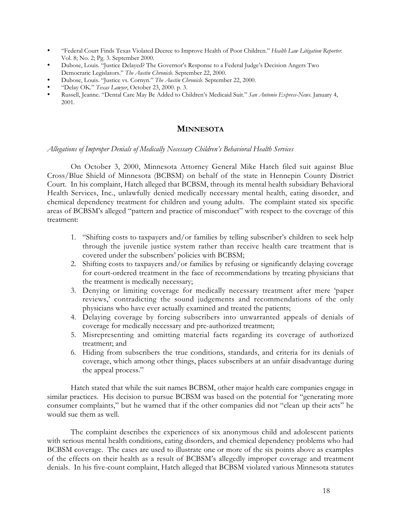- "Federal Court Finds Texas Violated Decree to Improve Health of Poor Children." *Health Law Litigation Reporter*. Vol. 8; No. 2; Pg. 3. September 2000.
- Dubose, Louis. "Justice Delayed? The Governor's Response to a Federal Judge's Decision Angers Two Democratic Legislators." *The Austin Chronicle*. September 22, 2000.
- Dubose, Louis. "Justice vs. Cornyn." *The Austin Chronicle*. September 22, 2000.
- "Delay OK." *Texas Lawyer*, October 23, 2000. p. 3.
- Russell, Jeanne. "Dental Care May Be Added to Children's Medicaid Suit." *San Antonio Express-News*. January 4, 2001.

## **MINNESOTA**

#### *Allegations of Improper Denials of Medically Necessary Children's Behavioral Health Services*

On October 3, 2000, Minnesota Attorney General Mike Hatch filed suit against Blue Cross/Blue Shield of Minnesota (BCBSM) on behalf of the state in Hennepin County District Court. In his complaint, Hatch alleged that BCBSM, through its mental health subsidiary Behavioral Health Services, Inc., unlawfully denied medically necessary mental health, eating disorder, and chemical dependency treatment for children and young adults. The complaint stated six specific areas of BCBSM's alleged "pattern and practice of misconduct" with respect to the coverage of this treatment:

- 1. "Shifting costs to taxpayers and/or families by telling subscriber's children to seek help through the juvenile justice system rather than receive health care treatment that is covered under the subscribers' policies with BCBSM;
- 2. Shifting costs to taxpayers and/or families by refusing or significantly delaying coverage for court-ordered treatment in the face of recommendations by treating physicians that the treatment is medically necessary;
- 3. Denying or limiting coverage for medically necessary treatment after mere 'paper reviews,' contradicting the sound judgements and recommendations of the only physicians who have ever actually examined and treated the patients;
- 4. Delaying coverage by forcing subscribers into unwarranted appeals of denials of coverage for medically necessary and pre-authorized treatment;
- 5. Misrepresenting and omitting material facts regarding its coverage of authorized treatment; and
- 6. Hiding from subscribers the true conditions, standards, and criteria for its denials of coverage, which among other things, places subscribers at an unfair disadvantage during the appeal process."

Hatch stated that while the suit names BCBSM, other major health care companies engage in similar practices. His decision to pursue BCBSM was based on the potential for "generating more consumer complaints," but he warned that if the other companies did not "clean up their acts" he would sue them as well.

The complaint describes the experiences of six anonymous child and adolescent patients with serious mental health conditions, eating disorders, and chemical dependency problems who had BCBSM coverage. The cases are used to illustrate one or more of the six points above as examples of the effects on their health as a result of BCBSM's allegedly improper coverage and treatment denials. In his five-count complaint, Hatch alleged that BCBSM violated various Minnesota statutes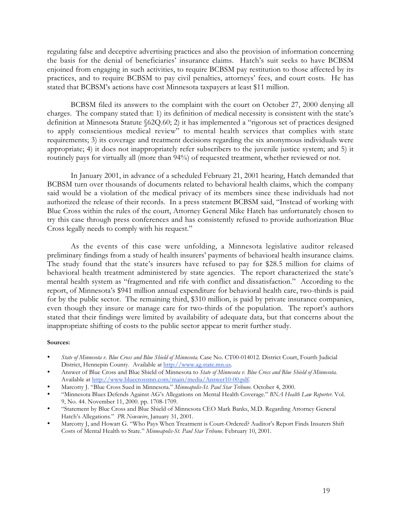regulating false and deceptive advertising practices and also the provision of information concerning the basis for the denial of beneficiaries' insurance claims. Hatch's suit seeks to have BCBSM enjoined from engaging in such activities, to require BCBSM pay restitution to those affected by its practices, and to require BCBSM to pay civil penalties, attorneys' fees, and court costs. He has stated that BCBSM's actions have cost Minnesota taxpayers at least \$11 million.

BCBSM filed its answers to the complaint with the court on October 27, 2000 denying all charges. The company stated that: 1) its definition of medical necessity is consistent with the state's definition at Minnesota Statute §62Q.60; 2) it has implemented a "rigorous set of practices designed to apply conscientious medical review" to mental health services that complies with state requirements; 3) its coverage and treatment decisions regarding the six anonymous individuals were appropriate; 4) it does not inappropriately refer subscribers to the juvenile justice system; and 5) it routinely pays for virtually all (more than 94%) of requested treatment, whether reviewed or not.

In January 2001, in advance of a scheduled February 21, 2001 hearing, Hatch demanded that BCBSM turn over thousands of documents related to behavioral health claims, which the company said would be a violation of the medical privacy of its members since these individuals had not authorized the release of their records. In a press statement BCBSM said, "Instead of working with Blue Cross within the rules of the court, Attorney General Mike Hatch has unfortunately chosen to try this case through press conferences and has consistently refused to provide authorization Blue Cross legally needs to comply with his request."

As the events of this case were unfolding, a Minnesota legislative auditor released preliminary findings from a study of health insurers' payments of behavioral health insurance claims. The study found that the state's insurers have refused to pay for \$28.5 million for claims of behavioral health treatment administered by state agencies. The report characterized the state's mental health system as "fragmented and rife with conflict and dissatisfaction." According to the report, of Minnesota's \$941 million annual expenditure for behavioral health care, two-thirds is paid for by the public sector. The remaining third, \$310 million, is paid by private insurance companies, even though they insure or manage care for two-thirds of the population. The report's authors stated that their findings were limited by availability of adequate data, but that concerns about the inappropriate shifting of costs to the public sector appear to merit further study.

#### **Sources:**

- *State of Minnesota v. Blue Cross and Blue Shield of Minnesota*. Case No. CT00-014012. District Court, Fourth Judicial District, Hennepin County. Available at http://www.ag.state.mn.us.
- Answer of Blue Cross and Blue Shield of Minnesota to *State of Minnesota v. Blue Cross and Blue Shield of Minnesota*. Available at http://www.bluecrossmn.com/main/media/Answer10-00.pdf.
- Marcotty J. "Blue Cross Sued in Minnesota." *Minneapolis-St. Paul Star Tribune*. October 4, 2000.
- "Minnesota Blues Defends Against AG's Allegations on Mental Health Coverage." *BNA Health Law Reporter*. Vol. 9, No. 44. November 11, 2000. pp. 1708-1709.
- "Statement by Blue Cross and Blue Shield of Minnesota CEO Mark Banks, M.D. Regarding Attorney General Hatch's Allegations." *PR Newswire*, January 31, 2001.
- Marcotty J, and Howatt G. "Who Pays When Treatment is Court-Ordered? Auditor's Report Finds Insurers Shift Costs of Mental Health to State." *Minneapolis-St. Paul Star Tribune*. February 10, 2001.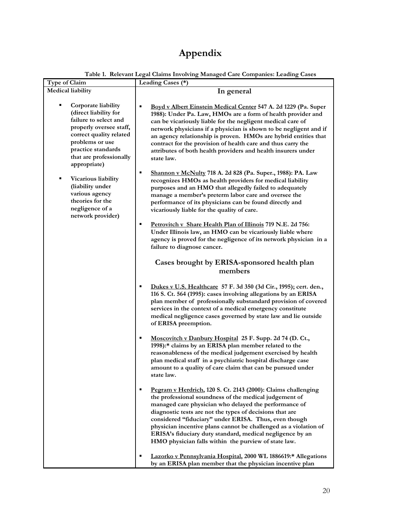# **Appendix**

| Type of Claim                                                                                                                                                                                                   | Leading Cases (*)                                                                                                                                                                                                                                                                                                                                                                                                                                                                              |
|-----------------------------------------------------------------------------------------------------------------------------------------------------------------------------------------------------------------|------------------------------------------------------------------------------------------------------------------------------------------------------------------------------------------------------------------------------------------------------------------------------------------------------------------------------------------------------------------------------------------------------------------------------------------------------------------------------------------------|
| <b>Medical liability</b>                                                                                                                                                                                        | In general                                                                                                                                                                                                                                                                                                                                                                                                                                                                                     |
| Corporate liability<br>(direct liability for<br>failure to select and<br>properly oversee staff,<br>correct quality related<br>problems or use<br>practice standards<br>that are professionally<br>appropriate) | Boyd v Albert Einstein Medical Center 547 A. 2d 1229 (Pa. Super<br>1988): Under Pa. Law, HMOs are a form of health provider and<br>can be vicariously liable for the negligent medical care of<br>network physicians if a physician is shown to be negligent and if<br>an agency relationship is proven. HMOs are hybrid entities that<br>contract for the provision of health care and thus carry the<br>attributes of both health providers and health insurers under<br>state law.          |
| Vicarious liability<br>п<br>(liability under<br>various agency<br>theories for the<br>negligence of a<br>network provider)                                                                                      | Shannon v McNulty 718 A. 2d 828 (Pa. Super., 1988): PA. Law<br>$\blacksquare$<br>recognizes HMOs as health providers for medical liability<br>purposes and an HMO that allegedly failed to adequately<br>manage a member's preterm labor care and oversee the<br>performance of its physicians can be found directly and<br>vicariously liable for the quality of care.                                                                                                                        |
|                                                                                                                                                                                                                 | Petrovitch v Share Health Plan of Illinois 719 N.E. 2d 756:<br>п<br>Under Illinois law, an HMO can be vicariously liable where<br>agency is proved for the negligence of its network physician in a<br>failure to diagnose cancer.                                                                                                                                                                                                                                                             |
|                                                                                                                                                                                                                 | Cases brought by ERISA-sponsored health plan<br>members                                                                                                                                                                                                                                                                                                                                                                                                                                        |
|                                                                                                                                                                                                                 | Dukes v U.S. Healthcare 57 F. 3d 350 (3d Cir., 1995); cert. den.,<br>٠<br>116 S. Ct. 564 (1995): cases involving allegations by an ERISA<br>plan member of professionally substandard provision of covered<br>services in the context of a medical emergency constitute<br>medical negligence cases governed by state law and lie outside<br>of ERISA preemption.                                                                                                                              |
|                                                                                                                                                                                                                 | Moscovitch v Danbury Hospital 25 F. Supp. 2d 74 (D. Ct.,<br>$\blacksquare$<br>1998):* claims by an ERISA plan member related to the<br>reasonableness of the medical judgement exercised by health<br>plan medical staff in a psychiatric hospital discharge case<br>amount to a quality of care claim that can be pursued under<br>state law.                                                                                                                                                 |
|                                                                                                                                                                                                                 | Pegram v Herdrich, 120 S. Ct. 2143 (2000): Claims challenging<br>the professional soundness of the medical judgement of<br>managed care physician who delayed the performance of<br>diagnostic tests are not the types of decisions that are<br>considered "fiduciary" under ERISA. Thus, even though<br>physician incentive plans cannot be challenged as a violation of<br>ERISA's fiduciary duty standard, medical negligence by an<br>HMO physician falls within the purview of state law. |
|                                                                                                                                                                                                                 | Lazorko v Pennsylvania Hospital, 2000 WL 1886619:* Allegations<br>by an ERISA plan member that the physician incentive plan                                                                                                                                                                                                                                                                                                                                                                    |

**Table 1. Relevant Legal Claims Involving Managed Care Companies: Leading Cases**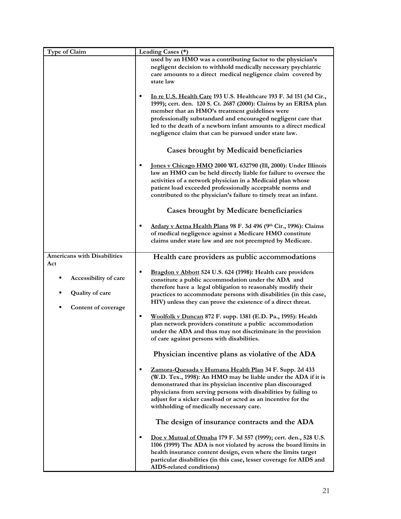| Type of Claim                      | Leading Cases (*)<br>used by an HMO was a contributing factor to the physician's<br>negligent decision to withhold medically necessary psychiatric<br>care amounts to a direct medical negligence claim covered by<br>state law |
|------------------------------------|---------------------------------------------------------------------------------------------------------------------------------------------------------------------------------------------------------------------------------|
|                                    |                                                                                                                                                                                                                                 |
|                                    |                                                                                                                                                                                                                                 |
|                                    |                                                                                                                                                                                                                                 |
|                                    |                                                                                                                                                                                                                                 |
|                                    | In re U.S. Health Care 193 U.S. Healthcare 193 F. 3d 151 (3d Cir.,<br>٠                                                                                                                                                         |
|                                    | 1999); cert. den. 120 S. Ct. 2687 (2000): Claims by an ERISA plan                                                                                                                                                               |
|                                    | member that an HMO's treatment guidelines were                                                                                                                                                                                  |
|                                    | professionally substandard and encouraged negligent care that<br>led to the death of a newborn infant amounts to a direct medical                                                                                               |
|                                    | negligence claim that can be pursued under state law.                                                                                                                                                                           |
|                                    |                                                                                                                                                                                                                                 |
|                                    | <b>Cases brought by Medicaid beneficiaries</b>                                                                                                                                                                                  |
|                                    | Jones v Chicago HMO 2000 WL 632790 (Ill, 2000): Under Illinois                                                                                                                                                                  |
|                                    | law an HMO can be held directly liable for failure to oversee the                                                                                                                                                               |
|                                    | activities of a network physician in a Medicaid plan whose                                                                                                                                                                      |
|                                    | patient load exceeded professionally acceptable norms and                                                                                                                                                                       |
|                                    | contributed to the physician's failure to timely treat an infant.                                                                                                                                                               |
|                                    | <b>Cases brought by Medicare beneficiaries</b>                                                                                                                                                                                  |
|                                    | Ardary v Aetna Health Plans 98 F. 3d 496 (9th Cir., 1996): Claims<br>٠                                                                                                                                                          |
|                                    | of medical negligence against a Medicare HMO constitute                                                                                                                                                                         |
|                                    | claims under state law and are not preempted by Medicare.                                                                                                                                                                       |
| <b>Americans with Disabilities</b> | Health care providers as public accommodations                                                                                                                                                                                  |
| Act                                |                                                                                                                                                                                                                                 |
|                                    | Bragdon v Abbott 524 U.S. 624 (1998): Health care providers<br>п                                                                                                                                                                |
| Accessibility of care<br>٠         | constitute a public accommodation under the ADA and                                                                                                                                                                             |
| <b>Quality of care</b>             | therefore have a legal obligation to reasonably modify their                                                                                                                                                                    |
|                                    | practices to accommodate persons with disabilities (in this case,<br>HIV) unless they can prove the existence of a direct threat.                                                                                               |
| Content of coverage<br>п           |                                                                                                                                                                                                                                 |
|                                    | Woolfolk v Duncan 872 F. supp. 1381 (E.D. Pa., 1995): Health<br>٠                                                                                                                                                               |
|                                    | plan network providers constitute a public accommodation                                                                                                                                                                        |
|                                    | under the ADA and thus may not discriminate in the provision                                                                                                                                                                    |
|                                    | of care against persons with disabilities.                                                                                                                                                                                      |
|                                    | Physician incentive plans as violative of the ADA                                                                                                                                                                               |
|                                    | ٠                                                                                                                                                                                                                               |
|                                    | (W.D. Tex., 1998): An HMO may be liable under the ADA if it is                                                                                                                                                                  |
|                                    | demonstrated that its physician incentive plan discouraged                                                                                                                                                                      |
|                                    | physicians from serving persons with disabilities by failing to                                                                                                                                                                 |
|                                    |                                                                                                                                                                                                                                 |
|                                    |                                                                                                                                                                                                                                 |
|                                    | The design of insurance contracts and the ADA                                                                                                                                                                                   |
|                                    | Doe v Mutual of Omaha 179 F. 3d 557 (1999); cert. den., 528 U.S.<br>٠                                                                                                                                                           |
|                                    | 1106 (1999) The ADA is not violated by across the board limits in                                                                                                                                                               |
|                                    | health insurance content design, even where the limits target                                                                                                                                                                   |
|                                    | particular disabilities (in this case, lesser coverage for AIDS and<br>AIDS-related conditions)                                                                                                                                 |
|                                    | Zamora-Quesada v Humana Health Plan 34 F. Supp. 2d 433<br>adjust for a sicker caseload or acted as an incentive for the<br>withholding of medically necessary care.                                                             |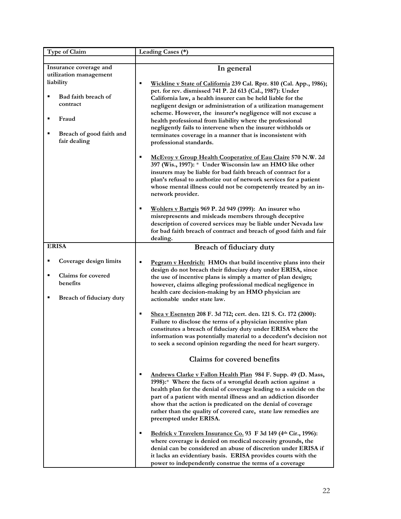| Type of Claim                                                                                                                                                                     | Leading Cases (*)                                                                                                                                                                                                                                                                                                                                                                                                                                                                                                                                                                                                                                                                                                                                                                                                                                                                                                                                                                                                                                                                                                                                                                                                                |
|-----------------------------------------------------------------------------------------------------------------------------------------------------------------------------------|----------------------------------------------------------------------------------------------------------------------------------------------------------------------------------------------------------------------------------------------------------------------------------------------------------------------------------------------------------------------------------------------------------------------------------------------------------------------------------------------------------------------------------------------------------------------------------------------------------------------------------------------------------------------------------------------------------------------------------------------------------------------------------------------------------------------------------------------------------------------------------------------------------------------------------------------------------------------------------------------------------------------------------------------------------------------------------------------------------------------------------------------------------------------------------------------------------------------------------|
| Insurance coverage and<br>utilization management<br>liability<br>Bad faith breach of<br>$\blacksquare$<br>contract<br>Fraud<br>п<br>Breach of good faith and<br>п<br>fair dealing | In general<br>Wickline v State of California 239 Cal. Rptr. 810 (Cal. App., 1986);<br>$\blacksquare$<br>pet. for rev. dismissed 741 P. 2d 613 (Cal., 1987): Under<br>California law, a health insurer can be held liable for the<br>negligent design or administration of a utilization management<br>scheme. However, the insurer's negligence will not excuse a<br>health professional from liability where the professional<br>negligently fails to intervene when the insurer withholds or<br>terminates coverage in a manner that is inconsistent with<br>professional standards.<br>McEvoy v Group Health Cooperative of Eau Claire 570 N.W. 2d<br>٠<br>397 (Wis., 1997): * Under Wisconsin law an HMO like other<br>insurers may be liable for bad faith breach of contract for a<br>plan's refusal to authorize out of network services for a patient<br>whose mental illness could not be competently treated by an in-<br>network provider.<br>Wohlers v Bartgis 969 P. 2d 949 (1999): An insurer who<br>٠<br>misrepresents and misleads members through deceptive<br>description of covered services may be liable under Nevada law<br>for bad faith breach of contract and breach of good faith and fair<br>dealing. |
| <b>ERISA</b>                                                                                                                                                                      | <b>Breach of fiduciary duty</b>                                                                                                                                                                                                                                                                                                                                                                                                                                                                                                                                                                                                                                                                                                                                                                                                                                                                                                                                                                                                                                                                                                                                                                                                  |
| Coverage design limits<br>٠<br><b>Claims for covered</b><br>$\blacksquare$<br>benefits<br>Breach of fiduciary duty<br>$\blacksquare$                                              | ٠<br>Pegram v Herdrich: HMOs that build incentive plans into their<br>design do not breach their fiduciary duty under ERISA, since<br>the use of incentive plans is simply a matter of plan design;<br>however, claims alleging professional medical negligence in<br>health care decision-making by an HMO physician are<br>actionable under state law.<br>Shea v Esensten 208 F. 3d 712; cert. den. 121 S. Ct. 172 (2000):<br>٠<br>Failure to disclose the terms of a physician incentive plan<br>constitutes a breach of fiduciary duty under ERISA where the<br>information was potentially material to a decedent's decision not<br>to seek a second opinion regarding the need for heart surgery.                                                                                                                                                                                                                                                                                                                                                                                                                                                                                                                          |
|                                                                                                                                                                                   | <b>Claims for covered benefits</b>                                                                                                                                                                                                                                                                                                                                                                                                                                                                                                                                                                                                                                                                                                                                                                                                                                                                                                                                                                                                                                                                                                                                                                                               |
|                                                                                                                                                                                   | Andrews Clarke v Fallon Health Plan 984 F. Supp. 49 (D. Mass,<br>٠<br>1998):* Where the facts of a wrongful death action against a<br>health plan for the denial of coverage leading to a suicide on the<br>part of a patient with mental illness and an addiction disorder<br>show that the action is predicated on the denial of coverage<br>rather than the quality of covered care, state law remedies are<br>preempted under ERISA.<br>Bedrick v Travelers Insurance Co. 93 F 3d 149 (4th Cir., 1996):<br>$\blacksquare$<br>where coverage is denied on medical necessity grounds, the<br>denial can be considered an abuse of discretion under ERISA if<br>it lacks an evidentiary basis. ERISA provides courts with the                                                                                                                                                                                                                                                                                                                                                                                                                                                                                                   |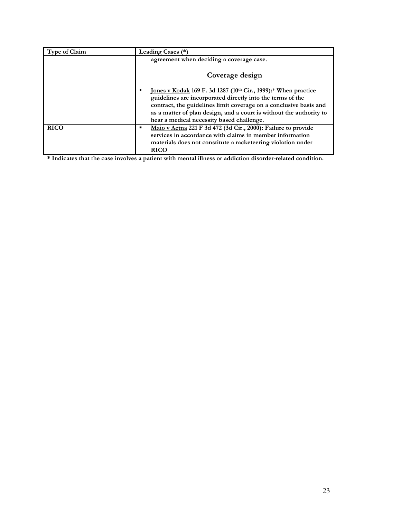| <b>Type of Claim</b> | Leading Cases (*)                                                                                                                                                                                                                                                                                                            |
|----------------------|------------------------------------------------------------------------------------------------------------------------------------------------------------------------------------------------------------------------------------------------------------------------------------------------------------------------------|
|                      | agreement when deciding a coverage case.                                                                                                                                                                                                                                                                                     |
|                      | Coverage design                                                                                                                                                                                                                                                                                                              |
|                      | <u>Jones v Kodak</u> 169 F. 3d 1287 (10th Cir., 1999):* When practice<br>guidelines are incorporated directly into the terms of the<br>contract, the guidelines limit coverage on a conclusive basis and<br>as a matter of plan design, and a court is without the authority to<br>hear a medical necessity based challenge. |
| <b>RICO</b>          | Maio v Aetna 221 F 3d 472 (3d Cir., 2000): Failure to provide<br>٠<br>services in accordance with claims in member information<br>materials does not constitute a racketeering violation under<br><b>RICO</b>                                                                                                                |

**\* Indicates that the case involves a patient with mental illness or addiction disorder-related condition.**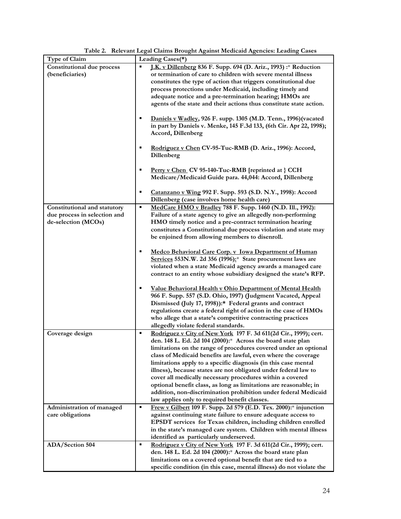| Type of Claim                     | Leading Cases(*)                                                      |
|-----------------------------------|-----------------------------------------------------------------------|
| <b>Constitutional due process</b> | J.K. v Dillenberg 836 F. Supp. 694 (D. Ariz., 1993) :* Reduction<br>٠ |
| (beneficiaries)                   | or termination of care to children with severe mental illness         |
|                                   | constitutes the type of action that triggers constitutional due       |
|                                   | process protections under Medicaid, including timely and              |
|                                   | adequate notice and a pre-termination hearing; HMOs are               |
|                                   | agents of the state and their actions thus constitute state action.   |
|                                   |                                                                       |
|                                   | Daniels v Wadley, 926 F. supp. 1305 (M.D. Tenn., 1996) (vacated<br>٠  |
|                                   | in part by Daniels v. Menke, 145 F.3d 133, (6th Cir. Apr 22, 1998);   |
|                                   | <b>Accord, Dillenberg</b>                                             |
|                                   |                                                                       |
|                                   | Rodriguez v Chen CV-95-Tuc-RMB (D. Ariz., 1996): Accord,              |
|                                   | Dillenberg                                                            |
|                                   |                                                                       |
|                                   | Perry v Chen CV 95-140-Tuc-RMB [reprinted at } CCH<br>٠               |
|                                   | Medicare/Medicaid Guide para. 44,044: Accord, Dillenberg              |
|                                   |                                                                       |
|                                   | Catanzano v Wing 992 F. Supp. 593 (S.D. N.Y., 1998): Accord<br>٠      |
|                                   | Dillenberg (case involves home health care)                           |
| Constitutional and statutory      | MedCare HMO v Bradley 788 F. Supp. 1460 (N.D. Ill., 1992):<br>٠       |
| due process in selection and      | Failure of a state agency to give an allegedly non-performing         |
| de-selection (MCOs)               | HMO timely notice and a pre-contract termination hearing              |
|                                   | constitutes a Constitutional due process violation and state may      |
|                                   | be enjoined from allowing members to disenroll.                       |
|                                   |                                                                       |
|                                   | Medco Behavioral Care Corp. v Iowa Department of Human<br>٠           |
|                                   | Services 553N.W. 2d 356 (1996):* State procurement laws are           |
|                                   | violated when a state Medicaid agency awards a managed care           |
|                                   | contract to an entity whose subsidiary designed the state's RFP.      |
|                                   |                                                                       |
|                                   | Value Behavioral Health v Ohio Department of Mental Health<br>٠       |
|                                   | 966 F. Supp. 557 (S.D. Ohio, 1997) (Judgment Vacated, Appeal          |
|                                   | Dismissed (July 17, 1998)):* Federal grants and contract              |
|                                   | regulations create a federal right of action in the case of HMOs      |
|                                   | who allege that a state's competitive contracting practices           |
|                                   | allegedly violate federal standards.                                  |
| Coverage design                   | Rodriguez v City of New York 197 F. 3d 611(2d Cir., 1999); cert.<br>٠ |
|                                   | den. 148 L. Ed. 2d 104 (2000):* Across the board state plan           |
|                                   | limitations on the range of procedures covered under an optional      |
|                                   | class of Medicaid benefits are lawful, even where the coverage        |
|                                   | limitations apply to a specific diagnosis (in this case mental        |
|                                   | illness), because states are not obligated under federal law to       |
|                                   | cover all medically necessary procedures within a covered             |
|                                   | optional benefit class, as long as limitations are reasonable; in     |
|                                   | addition, non-discrimination prohibition under federal Medicaid       |
|                                   | law applies only to required benefit classes.                         |
| Administration of managed         | Frew v Gilbert 109 F. Supp. 2d 579 (E.D. Tex. 2000):* injunction<br>٠ |
| care obligations                  | against continuing state failure to ensure adequate access to         |
|                                   | EPSDT services for Texas children, including children enrolled        |
|                                   | in the state's managed care system. Children with mental illness      |
|                                   | identified as particularly underserved.                               |
| ADA/Section 504                   | ٠<br>Rodriguez v City of New York 197 F. 3d 611(2d Cir., 1999); cert. |
|                                   | den. 148 L. Ed. 2d 104 (2000):* Across the board state plan           |
|                                   | limitations on a covered optional benefit that are tied to a          |
|                                   | specific condition (in this case, mental illness) do not violate the  |

**Table 2. Relevant Legal Claims Brought Against Medicaid Agencies: Leading Cases**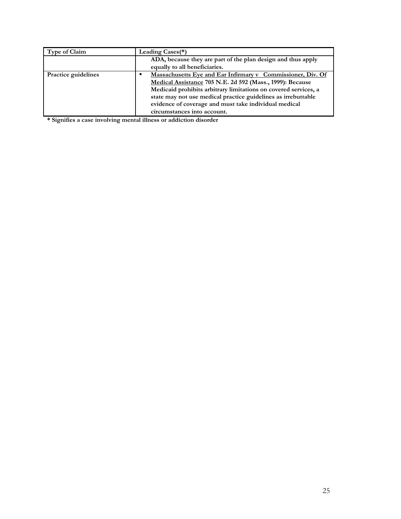| <b>Type of Claim</b>       | Leading Cases(*)                                                                                                                                                                                                                                                                                                                                     |
|----------------------------|------------------------------------------------------------------------------------------------------------------------------------------------------------------------------------------------------------------------------------------------------------------------------------------------------------------------------------------------------|
|                            | ADA, because they are part of the plan design and thus apply<br>equally to all beneficiaries.                                                                                                                                                                                                                                                        |
| <b>Practice guidelines</b> | Massachusetts Eye and Ear Infirmary v Commissioner, Div. Of<br>Medical Assistance 705 N.E. 2d 592 (Mass., 1999): Because<br>Medicaid prohibits arbitrary limitations on covered services, a<br>state may not use medical practice guidelines as irrebuttable<br>evidence of coverage and must take individual medical<br>circumstances into account. |

**\* Signifies a case involving mental illness or addiction disorder**